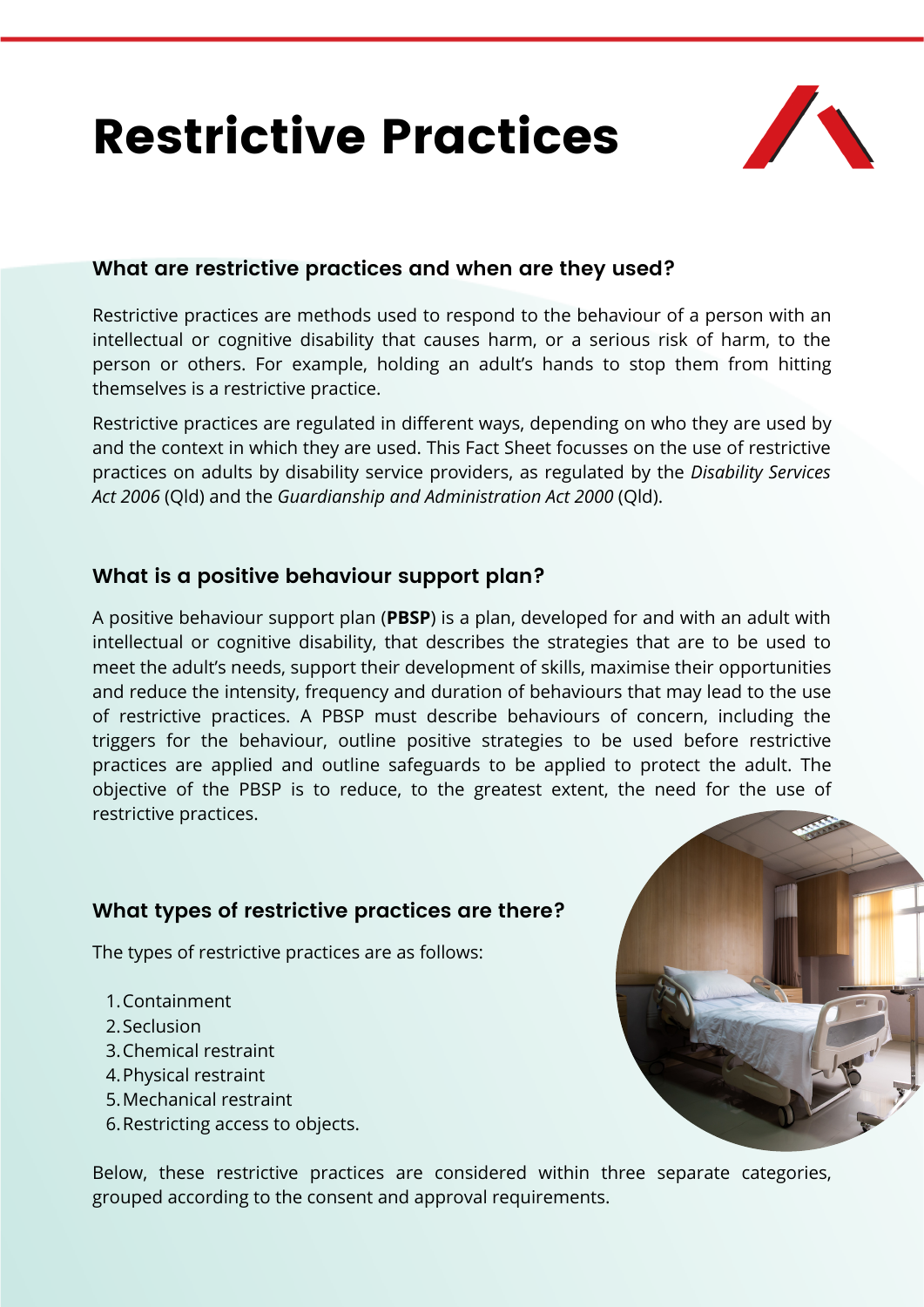# Restrictive Practices



## **What are restrictive practices and when are they used?**

Restrictive practices are methods used to respond to the behaviour of a person with an intellectual or cognitive disability that causes harm, or a serious risk of harm, to the person or others. For example, holding an adult's hands to stop them from hitting themselves is a restrictive practice.

Restrictive practices are regulated in different ways, depending on who they are used by and the context in which they are used. This Fact Sheet focusses on the use of restrictive practices on adults by disability service providers, as regulated by the *Disability Services Act 2006* (Qld) and the *Guardianship and Administration Act 2000* (Qld).

# **What is a positive behaviour support plan?**

A positive behaviour support plan (**PBSP**) is a plan, developed for and with an adult with intellectual or cognitive disability, that describes the strategies that are to be used to meet the adult's needs, support their development of skills, maximise their opportunities and reduce the intensity, frequency and duration of behaviours that may lead to the use of restrictive practices. A PBSP must describe behaviours of concern, including the triggers for the behaviour, outline positive strategies to be used before restrictive practices are applied and outline safeguards to be applied to protect the adult. The objective of the PBSP is to reduce, to the greatest extent, the need for the use of restrictive practices.

# **What types of restrictive practices are there?**

The types of restrictive practices are as follows:

- 1. Containment
- 2. Seclusion
- 3. Chemical restraint
- 4. Physical restraint
- Mechanical restraint 5.
- 6. Restricting access to objects.

Below, these restrictive practices are considered within three separate categories, grouped according to the consent and approval requirements.

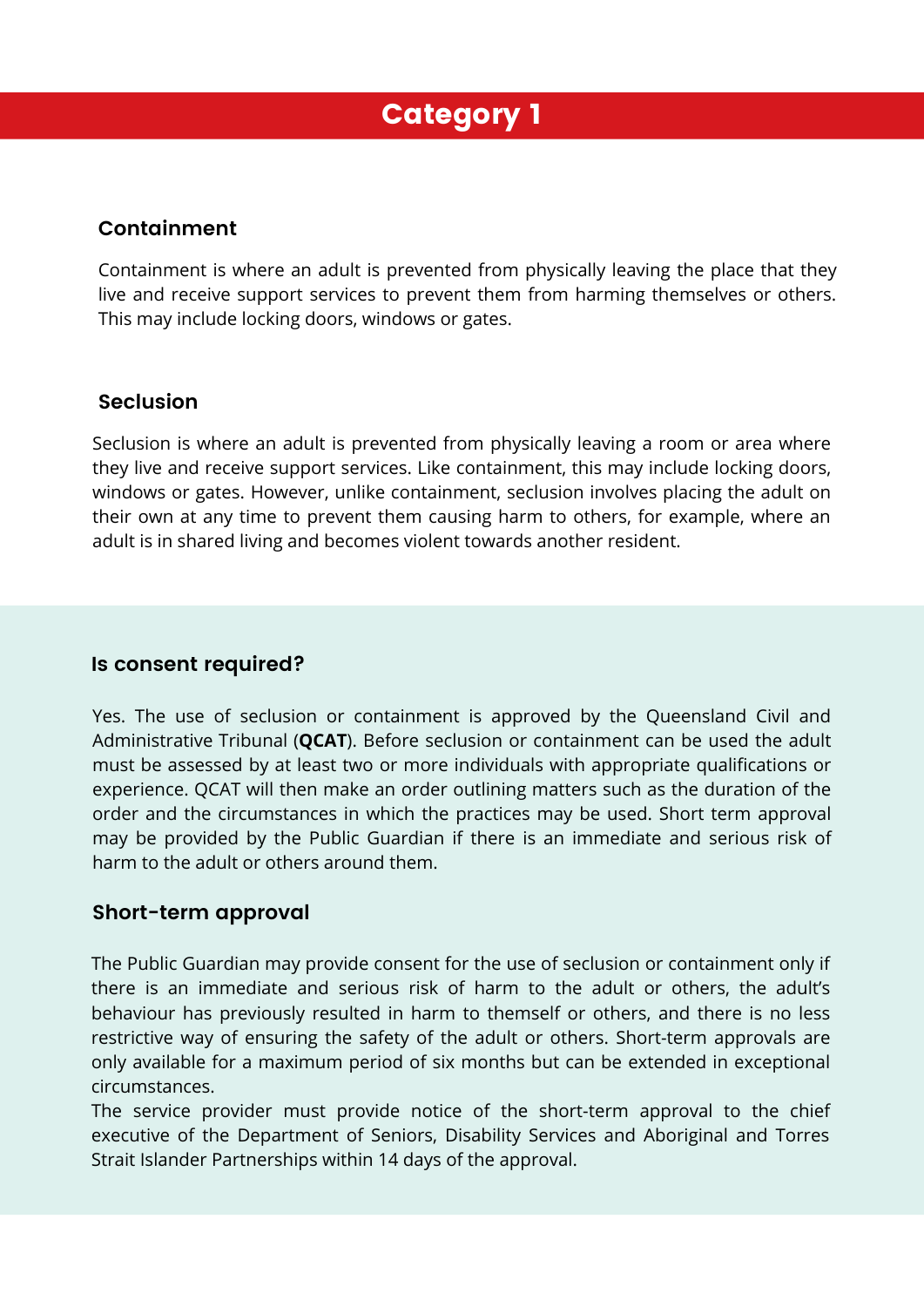# Category 1

### **Containment**

Containment is where an adult is prevented from physically leaving the place that they live and receive support services to prevent them from harming themselves or others. This may include locking doors, windows or gates.

#### **Seclusion**

Seclusion is where an adult is prevented from physically leaving a room or area where they live and receive support services. Like containment, this may include locking doors, windows or gates. However, unlike containment, seclusion involves placing the adult on their own at any time to prevent them causing harm to others, for example, where an adult is in shared living and becomes violent towards another resident.

#### **Is consent required?**

Yes. The use of seclusion or containment is approved by the Queensland Civil and Administrative Tribunal (**QCAT**). Before seclusion or containment can be used the adult must be assessed by at least two or more individuals with appropriate qualifications or experience. QCAT will then make an order outlining matters such as the duration of the order and the circumstances in which the practices may be used. Short term approval may be provided by the Public Guardian if there is an immediate and serious risk of harm to the adult or others around them.

#### **Short-term approval**

The Public Guardian may provide consent for the use of seclusion or containment only if there is an immediate and serious risk of harm to the adult or others, the adult's behaviour has previously resulted in harm to themself or others, and there is no less restrictive way of ensuring the safety of the adult or others. Short-term approvals are only available for a maximum period of six months but can be extended in exceptional circumstances.

The service provider must provide notice of the short-term approval to the chief executive of the Department of Seniors, Disability Services and Aboriginal and Torres Strait Islander Partnerships within 14 days of the approval.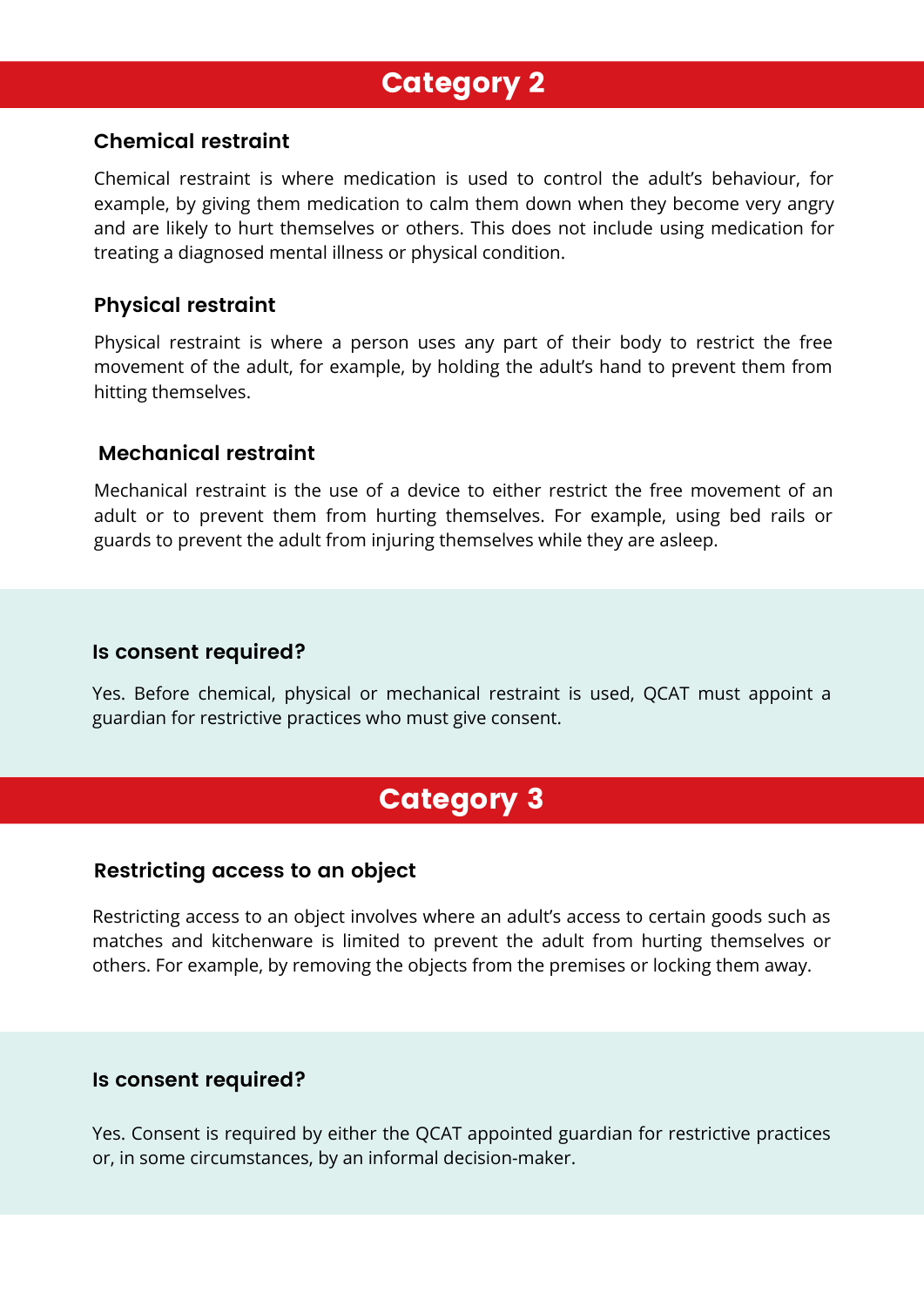# Category 2

#### **Chemical restraint**

Chemical restraint is where medication is used to control the adult's behaviour, for example, by giving them medication to calm them down when they become very angry and are likely to hurt themselves or others. This does not include using medication for treating a diagnosed mental illness or physical condition.

#### **Physical restraint**

Physical restraint is where a person uses any part of their body to restrict the free movement of the adult, for example, by holding the adult's hand to prevent them from hitting themselves.

#### **Mechanical restraint**

Mechanical restraint is the use of a device to either restrict the free movement of an adult or to prevent them from hurting themselves. For example, using bed rails or guards to prevent the adult from injuring themselves while they are asleep.

#### **Is consent required?**

Yes. Before chemical, physical or mechanical restraint is used, QCAT must appoint a guardian for restrictive practices who must give consent.

# Category 3

#### **Restricting access to an object**

Restricting access to an object involves where an adult's access to certain goods such as matches and kitchenware is limited to prevent the adult from hurting themselves or others. For example, by removing the objects from the premises or locking them away.

#### **Is consent required?**

Yes. Consent is required by either the QCAT appointed guardian for restrictive practices or, in some circumstances, by an informal decision-maker.